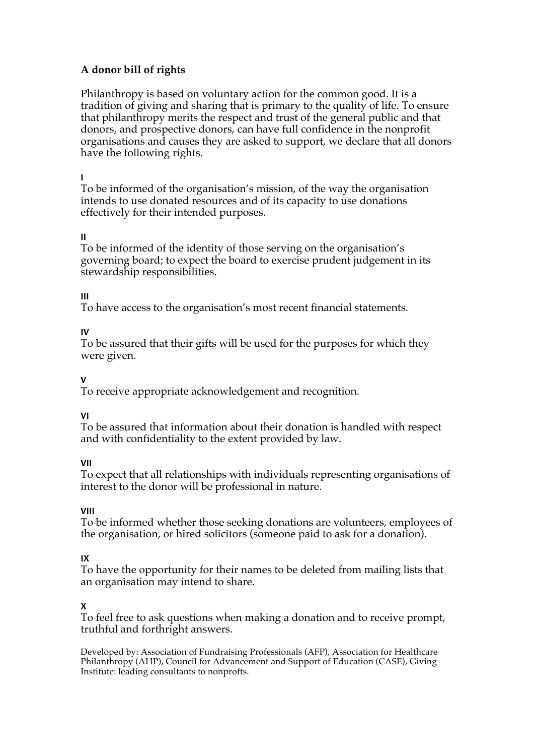# **A donor bill of rights**

Philanthropy is based on voluntary action for the common good. It is a tradition of giving and sharing that is primary to the quality of life. To ensure that philanthropy merits the respect and trust of the general public and that donors, and prospective donors, can have full confidence in the nonprofit organisations and causes they are asked to support, we declare that all donors have the following rights.

#### **I**

To be informed of the organisation's mission, of the way the organisation intends to use donated resources and of its capacity to use donations effectively for their intended purposes.

### **II**

To be informed of the identity of those serving on the organisation's governing board; to expect the board to exercise prudent judgement in its stewardship responsibilities.

### **III**

To have access to the organisation's most recent financial statements.

## **IV**

To be assured that their gifts will be used for the purposes for which they were given.

## **V**

To receive appropriate acknowledgement and recognition.

#### **VI**

To be assured that information about their donation is handled with respect and with confidentiality to the extent provided by law.

## **VII**

To expect that all relationships with individuals representing organisations of interest to the donor will be professional in nature.

## **VIII**

To be informed whether those seeking donations are volunteers, employees of the organisation, or hired solicitors (someone paid to ask for a donation).

## **IX**

To have the opportunity for their names to be deleted from mailing lists that an organisation may intend to share.

#### **X**

To feel free to ask questions when making a donation and to receive prompt, truthful and forthright answers.

Developed by: Association of Fundraising Professionals (AFP), Association for Healthcare Philanthropy (AHP), Council for Advancement and Support of Education (CASE), Giving Institute: leading consultants to nonprofts.